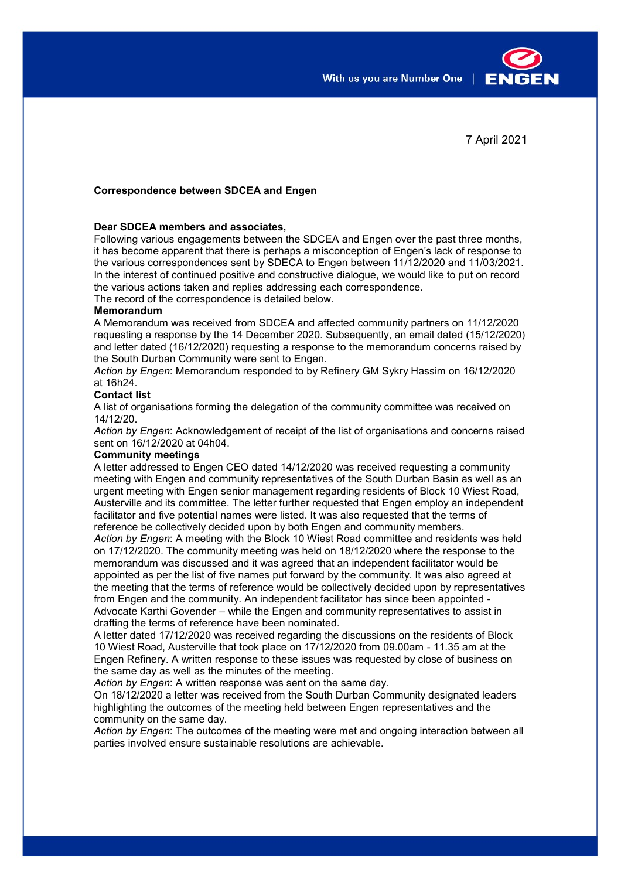With us you are Number One



7 April 2021

# **Correspondence between SDCEA and Engen**

# **Dear SDCEA members and associates,**

Following various engagements between the SDCEA and Engen over the past three months, it has become apparent that there is perhaps a misconception of Engen's lack of response to the various correspondences sent by SDECA to Engen between 11/12/2020 and 11/03/2021. In the interest of continued positive and constructive dialogue, we would like to put on record the various actions taken and replies addressing each correspondence.

The record of the correspondence is detailed below.

## **Memorandum**

A Memorandum was received from SDCEA and affected community partners on 11/12/2020 requesting a response by the 14 December 2020. Subsequently, an email dated (15/12/2020) and letter dated (16/12/2020) requesting a response to the memorandum concerns raised by the South Durban Community were sent to Engen.

*Action by Engen*: Memorandum responded to by Refinery GM Sykry Hassim on 16/12/2020 at 16h24.

## **Contact list**

A list of organisations forming the delegation of the community committee was received on 14/12/20.

*Action by Engen*: Acknowledgement of receipt of the list of organisations and concerns raised sent on 16/12/2020 at 04h04.

#### **Community meetings**

A letter addressed to Engen CEO dated 14/12/2020 was received requesting a community meeting with Engen and community representatives of the South Durban Basin as well as an urgent meeting with Engen senior management regarding residents of Block 10 Wiest Road, Austerville and its committee. The letter further requested that Engen employ an independent facilitator and five potential names were listed. It was also requested that the terms of reference be collectively decided upon by both Engen and community members.

*Action by Engen*: A meeting with the Block 10 Wiest Road committee and residents was held on 17/12/2020. The community meeting was held on 18/12/2020 where the response to the memorandum was discussed and it was agreed that an independent facilitator would be appointed as per the list of five names put forward by the community. It was also agreed at the meeting that the terms of reference would be collectively decided upon by representatives from Engen and the community. An independent facilitator has since been appointed - Advocate Karthi Govender – while the Engen and community representatives to assist in

drafting the terms of reference have been nominated. A letter dated 17/12/2020 was received regarding the discussions on the residents of Block 10 Wiest Road, Austerville that took place on 17/12/2020 from 09.00am - 11.35 am at the Engen Refinery. A written response to these issues was requested by close of business on the same day as well as the minutes of the meeting.

*Action by Engen*: A written response was sent on the same day.

On 18/12/2020 a letter was received from the South Durban Community designated leaders highlighting the outcomes of the meeting held between Engen representatives and the community on the same day.

*Action by Engen*: The outcomes of the meeting were met and ongoing interaction between all parties involved ensure sustainable resolutions are achievable.